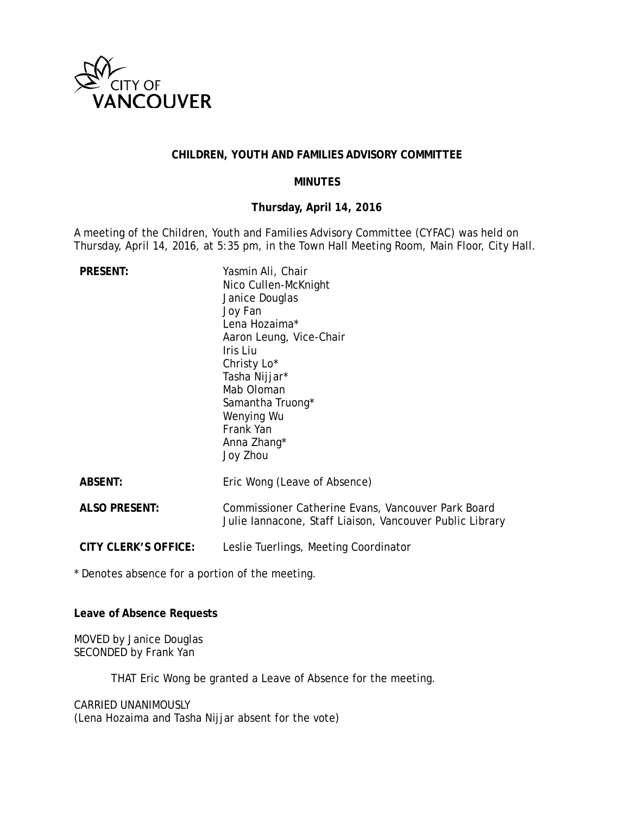

### **CHILDREN, YOUTH AND FAMILIES ADVISORY COMMITTEE**

#### **MINUTES**

#### **Thursday, April 14, 2016**

A meeting of the Children, Youth and Families Advisory Committee (CYFAC) was held on Thursday, April 14, 2016, at 5:35 pm, in the Town Hall Meeting Room, Main Floor, City Hall.

| <b>PRESENT:</b>      | Yasmin Ali, Chair<br>Nico Cullen-McKnight<br>Janice Douglas<br>Joy Fan<br>Lena Hozaima*<br>Aaron Leung, Vice-Chair<br>Iris Liu<br>Christy Lo*<br>Tasha Nijjar*<br>Mab Oloman<br>Samantha Truong*<br>Wenying Wu<br>Frank Yan<br>Anna Zhang*<br>Joy Zhou |
|----------------------|--------------------------------------------------------------------------------------------------------------------------------------------------------------------------------------------------------------------------------------------------------|
| <b>ABSENT:</b>       | Eric Wong (Leave of Absence)                                                                                                                                                                                                                           |
| <b>ALSO PRESENT:</b> | Commissioner Catherine Evans, Vancouver Park Board<br>Julie lannacone, Staff Liaison, Vancouver Public Library                                                                                                                                         |
| CITY CLERK'S OFFICE: | Leslie Tuerlings, Meeting Coordinator                                                                                                                                                                                                                  |

\* Denotes absence for a portion of the meeting.

**Leave of Absence Requests**

MOVED by Janice Douglas SECONDED by Frank Yan

THAT Eric Wong be granted a Leave of Absence for the meeting.

CARRIED UNANIMOUSLY (Lena Hozaima and Tasha Nijjar absent for the vote)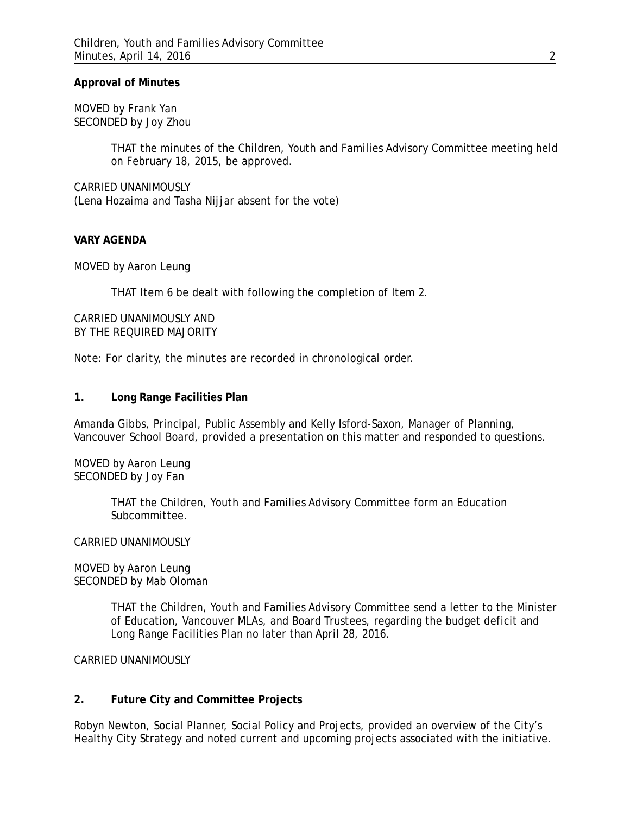#### **Approval of Minutes**

MOVED by Frank Yan SECONDED by Joy Zhou

> THAT the minutes of the Children, Youth and Families Advisory Committee meeting held on February 18, 2015, be approved.

CARRIED UNANIMOUSLY (Lena Hozaima and Tasha Nijjar absent for the vote)

#### **VARY AGENDA**

MOVED by Aaron Leung

THAT Item 6 be dealt with following the completion of Item 2.

CARRIED UNANIMOUSLY AND BY THE REQUIRED MAJORITY

*Note: For clarity, the minutes are recorded in chronological order.*

#### **1. Long Range Facilities Plan**

Amanda Gibbs, Principal, Public Assembly and Kelly Isford-Saxon, Manager of Planning, Vancouver School Board, provided a presentation on this matter and responded to questions.

MOVED by Aaron Leung SECONDED by Joy Fan

> THAT the Children, Youth and Families Advisory Committee form an Education Subcommittee.

#### CARRIED UNANIMOUSLY

MOVED by Aaron Leung SECONDED by Mab Oloman

> THAT the Children, Youth and Families Advisory Committee send a letter to the Minister of Education, Vancouver MLAs, and Board Trustees, regarding the budget deficit and Long Range Facilities Plan no later than April 28, 2016.

CARRIED UNANIMOUSLY

#### **2. Future City and Committee Projects**

Robyn Newton, Social Planner, Social Policy and Projects, provided an overview of the City's Healthy City Strategy and noted current and upcoming projects associated with the initiative.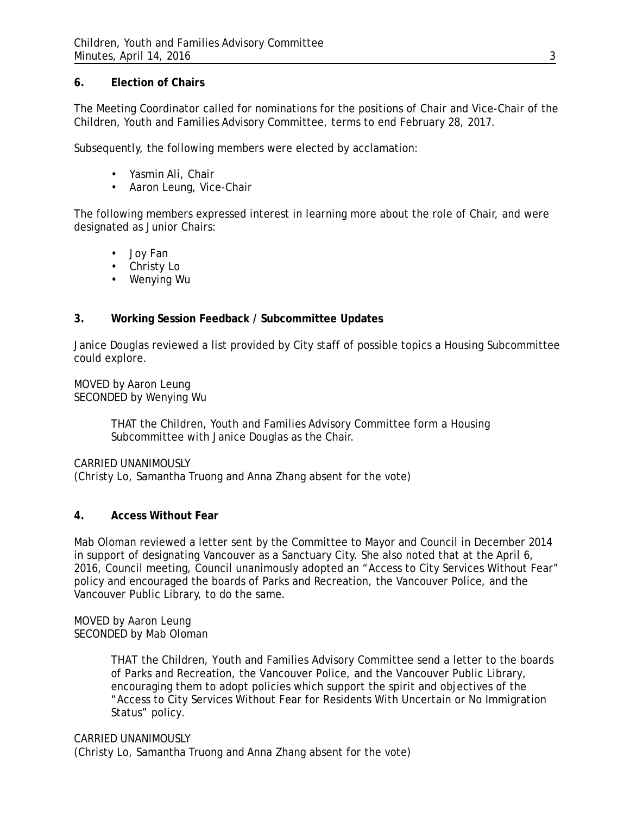## **6. Election of Chairs**

The Meeting Coordinator called for nominations for the positions of Chair and Vice-Chair of the Children, Youth and Families Advisory Committee, terms to end February 28, 2017.

Subsequently, the following members were elected by acclamation:

- Yasmin Ali, Chair
- Aaron Leung, Vice-Chair

The following members expressed interest in learning more about the role of Chair, and were designated as Junior Chairs:

- Joy Fan
- Christy Lo
- Wenying Wu

# **3. Working Session Feedback / Subcommittee Updates**

Janice Douglas reviewed a list provided by City staff of possible topics a Housing Subcommittee could explore.

MOVED by Aaron Leung SECONDED by Wenying Wu

> THAT the Children, Youth and Families Advisory Committee form a Housing Subcommittee with Janice Douglas as the Chair.

CARRIED UNANIMOUSLY

(Christy Lo, Samantha Truong and Anna Zhang absent for the vote)

## **4. Access Without Fear**

Mab Oloman reviewed a letter sent by the Committee to Mayor and Council in December 2014 in support of designating Vancouver as a Sanctuary City. She also noted that at the April 6, 2016, Council meeting, Council unanimously adopted an "Access to City Services Without Fear" policy and encouraged the boards of Parks and Recreation, the Vancouver Police, and the Vancouver Public Library, to do the same.

MOVED by Aaron Leung SECONDED by Mab Oloman

> THAT the Children, Youth and Families Advisory Committee send a letter to the boards of Parks and Recreation, the Vancouver Police, and the Vancouver Public Library, encouraging them to adopt policies which support the spirit and objectives of the "Access to City Services Without Fear for Residents With Uncertain or No Immigration Status" policy.

CARRIED UNANIMOUSLY (Christy Lo, Samantha Truong and Anna Zhang absent for the vote)